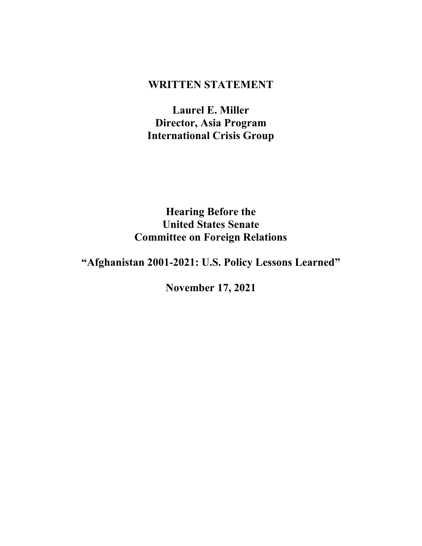# **WRITTEN STATEMENT**

**Laurel E. Miller Director, Asia Program International Crisis Group**

**Hearing Before the United States Senate Committee on Foreign Relations**

# **"Afghanistan 2001-2021: U.S. Policy Lessons Learned"**

**November 17, 2021**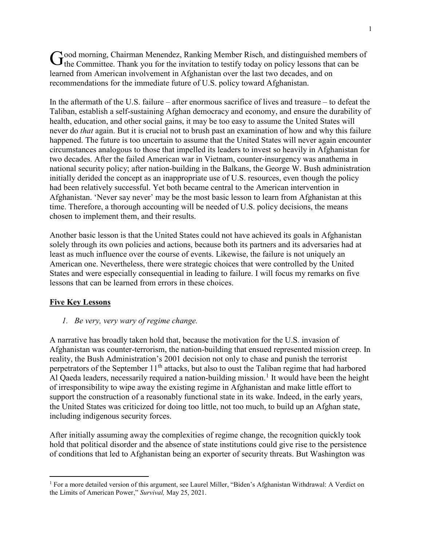ood morning, Chairman Menendez, Ranking Member Risch, and distinguished members of  $G_{\text{the} \text{Committe}}$ . Thank you for the invitation to testify today on policy lessons that can be learned from American involvement in Afghanistan over the last two decades, and on recommendations for the immediate future of U.S. policy toward Afghanistan.

In the aftermath of the U.S. failure – after enormous sacrifice of lives and treasure – to defeat the Taliban, establish a self-sustaining Afghan democracy and economy, and ensure the durability of health, education, and other social gains, it may be too easy to assume the United States will never do *that* again. But it is crucial not to brush past an examination of how and why this failure happened. The future is too uncertain to assume that the United States will never again encounter circumstances analogous to those that impelled its leaders to invest so heavily in Afghanistan for two decades. After the failed American war in Vietnam, counter-insurgency was anathema in national security policy; after nation-building in the Balkans, the George W. Bush administration initially derided the concept as an inappropriate use of U.S. resources, even though the policy had been relatively successful. Yet both became central to the American intervention in Afghanistan. 'Never say never' may be the most basic lesson to learn from Afghanistan at this time. Therefore, a thorough accounting will be needed of U.S. policy decisions, the means chosen to implement them, and their results.

Another basic lesson is that the United States could not have achieved its goals in Afghanistan solely through its own policies and actions, because both its partners and its adversaries had at least as much influence over the course of events. Likewise, the failure is not uniquely an American one. Nevertheless, there were strategic choices that were controlled by the United States and were especially consequential in leading to failure. I will focus my remarks on five lessons that can be learned from errors in these choices.

## **Five Key Lessons**

*1. Be very, very wary of regime change.*

A narrative has broadly taken hold that, because the motivation for the U.S. invasion of Afghanistan was counter-terrorism, the nation-building that ensued represented mission creep. In reality, the Bush Administration's 2001 decision not only to chase and punish the terrorist perpetrators of the September  $11<sup>th</sup>$  attacks, but also to oust the Taliban regime that had harbored Al Qaeda leaders, necessarily required a nation-building mission.<sup>[1](#page-1-0)</sup> It would have been the height of irresponsibility to wipe away the existing regime in Afghanistan and make little effort to support the construction of a reasonably functional state in its wake. Indeed, in the early years, the United States was criticized for doing too little, not too much, to build up an Afghan state, including indigenous security forces.

After initially assuming away the complexities of regime change, the recognition quickly took hold that political disorder and the absence of state institutions could give rise to the persistence of conditions that led to Afghanistan being an exporter of security threats. But Washington was

<span id="page-1-0"></span> $\overline{a}$ <sup>1</sup> For a more detailed version of this argument, see Laurel Miller, "Biden's Afghanistan Withdrawal: A Verdict on the Limits of American Power," *Survival,* May 25, 2021.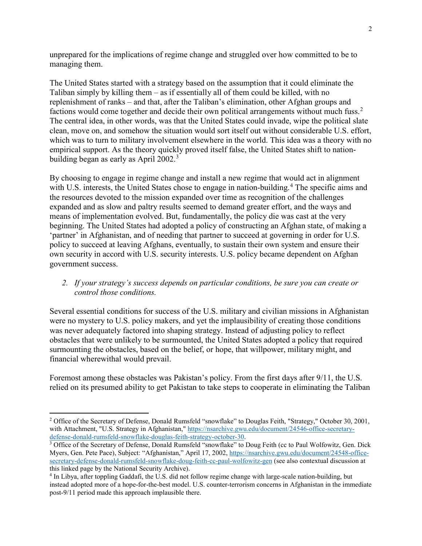unprepared for the implications of regime change and struggled over how committed to be to managing them.

The United States started with a strategy based on the assumption that it could eliminate the Taliban simply by killing them – as if essentially all of them could be killed, with no replenishment of ranks – and that, after the Taliban's elimination, other Afghan groups and factions would come together and decide their own political arrangements without much fuss.<sup>[2](#page-2-0)</sup> The central idea, in other words, was that the United States could invade, wipe the political slate clean, move on, and somehow the situation would sort itself out without considerable U.S. effort, which was to turn to military involvement elsewhere in the world. This idea was a theory with no empirical support. As the theory quickly proved itself false, the United States shift to nation-building began as early as April 2002.<sup>[3](#page-2-1)</sup>

By choosing to engage in regime change and install a new regime that would act in alignment with U.S. interests, the United States chose to engage in nation-building.<sup>[4](#page-2-2)</sup> The specific aims and the resources devoted to the mission expanded over time as recognition of the challenges expanded and as slow and paltry results seemed to demand greater effort, and the ways and means of implementation evolved. But, fundamentally, the policy die was cast at the very beginning. The United States had adopted a policy of constructing an Afghan state, of making a 'partner' in Afghanistan, and of needing that partner to succeed at governing in order for U.S. policy to succeed at leaving Afghans, eventually, to sustain their own system and ensure their own security in accord with U.S. security interests. U.S. policy became dependent on Afghan government success.

#### *2. If your strategy's success depends on particular conditions, be sure you can create or control those conditions.*

Several essential conditions for success of the U.S. military and civilian missions in Afghanistan were no mystery to U.S. policy makers, and yet the implausibility of creating those conditions was never adequately factored into shaping strategy. Instead of adjusting policy to reflect obstacles that were unlikely to be surmounted, the United States adopted a policy that required surmounting the obstacles, based on the belief, or hope, that willpower, military might, and financial wherewithal would prevail.

Foremost among these obstacles was Pakistan's policy. From the first days after 9/11, the U.S. relied on its presumed ability to get Pakistan to take steps to cooperate in eliminating the Taliban

<span id="page-2-0"></span> $\overline{a}$ <sup>2</sup> Office of the Secretary of Defense, Donald Rumsfeld "snowflake" to Douglas Feith, "Strategy," October 30, 2001, with Attachment, "U.S. Strategy in Afghanistan," [https://nsarchive.gwu.edu/document/24546-office-secretary](https://nsarchive.gwu.edu/document/24546-office-secretary-defense-donald-rumsfeld-snowflake-douglas-feith-strategy-october-30)[defense-donald-rumsfeld-snowflake-douglas-feith-strategy-october-30.](https://nsarchive.gwu.edu/document/24546-office-secretary-defense-donald-rumsfeld-snowflake-douglas-feith-strategy-october-30)

<span id="page-2-1"></span><sup>&</sup>lt;sup>3</sup> Office of the Secretary of Defense, Donald Rumsfeld "snowflake" to Doug Feith (cc to Paul Wolfowitz, Gen. Dick Myers, Gen. Pete Pace), Subject: "Afghanistan," April 17, 2002, [https://nsarchive.gwu.edu/document/24548-office](https://nsarchive.gwu.edu/document/24548-office-secretary-defense-donald-rumsfeld-snowflake-doug-feith-cc-paul-wolfowitz-gen)[secretary-defense-donald-rumsfeld-snowflake-doug-feith-cc-paul-wolfowitz-gen](https://nsarchive.gwu.edu/document/24548-office-secretary-defense-donald-rumsfeld-snowflake-doug-feith-cc-paul-wolfowitz-gen) (see also contextual discussion at this linked page by the National Security Archive).

<span id="page-2-2"></span><sup>4</sup> In Libya, after toppling Gaddafi, the U.S. did not follow regime change with large-scale nation-building, but instead adopted more of a hope-for-the-best model. U.S. counter-terrorism concerns in Afghanistan in the immediate post-9/11 period made this approach implausible there.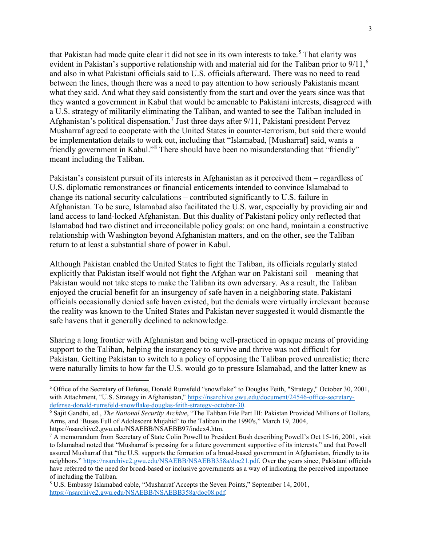that Pakistan had made quite clear it did not see in its own interests to take.<sup>[5](#page-3-0)</sup> That clarity was evident in Pakistan's supportive relationship with and material aid for the Taliban prior to  $9/11$ ,<sup>[6](#page-3-1)</sup> and also in what Pakistani officials said to U.S. officials afterward. There was no need to read between the lines, though there was a need to pay attention to how seriously Pakistanis meant what they said. And what they said consistently from the start and over the years since was that they wanted a government in Kabul that would be amenable to Pakistani interests, disagreed with a U.S. strategy of militarily eliminating the Taliban, and wanted to see the Taliban included in Afghanistan's political dispensation.<sup>[7](#page-3-2)</sup> Just three days after  $9/11$ , Pakistani president Pervez Musharraf agreed to cooperate with the United States in counter-terrorism, but said there would be implementation details to work out, including that "Islamabad, [Musharraf] said, wants a friendly government in Kabul."<sup>[8](#page-3-3)</sup> There should have been no misunderstanding that "friendly" meant including the Taliban.

Pakistan's consistent pursuit of its interests in Afghanistan as it perceived them – regardless of U.S. diplomatic remonstrances or financial enticements intended to convince Islamabad to change its national security calculations – contributed significantly to U.S. failure in Afghanistan. To be sure, Islamabad also facilitated the U.S. war, especially by providing air and land access to land-locked Afghanistan. But this duality of Pakistani policy only reflected that Islamabad had two distinct and irreconcilable policy goals: on one hand, maintain a constructive relationship with Washington beyond Afghanistan matters, and on the other, see the Taliban return to at least a substantial share of power in Kabul.

Although Pakistan enabled the United States to fight the Taliban, its officials regularly stated explicitly that Pakistan itself would not fight the Afghan war on Pakistani soil – meaning that Pakistan would not take steps to make the Taliban its own adversary. As a result, the Taliban enjoyed the crucial benefit for an insurgency of safe haven in a neighboring state. Pakistani officials occasionally denied safe haven existed, but the denials were virtually irrelevant because the reality was known to the United States and Pakistan never suggested it would dismantle the safe havens that it generally declined to acknowledge.

Sharing a long frontier with Afghanistan and being well-practiced in opaque means of providing support to the Taliban, helping the insurgency to survive and thrive was not difficult for Pakistan. Getting Pakistan to switch to a policy of opposing the Taliban proved unrealistic; there were naturally limits to how far the U.S. would go to pressure Islamabad, and the latter knew as

<span id="page-3-0"></span> <sup>5</sup> Office of the Secretary of Defense, Donald Rumsfeld "snowflake" to Douglas Feith, "Strategy," October 30, 2001, with Attachment, "U.S. Strategy in Afghanistan," [https://nsarchive.gwu.edu/document/24546-office-secretary](https://nsarchive.gwu.edu/document/24546-office-secretary-defense-donald-rumsfeld-snowflake-douglas-feith-strategy-october-30)[defense-donald-rumsfeld-snowflake-douglas-feith-strategy-october-30.](https://nsarchive.gwu.edu/document/24546-office-secretary-defense-donald-rumsfeld-snowflake-douglas-feith-strategy-october-30)

<span id="page-3-1"></span><sup>6</sup> Sajit Gandhi, ed., *The National Security Archive*, "The Taliban File Part III: Pakistan Provided Millions of Dollars, Arms, and 'Buses Full of Adolescent Mujahid' to the Taliban in the 1990's," March 19, 2004, https://nsarchive2.gwu.edu/NSAEBB/NSAEBB97/index4.htm.

<span id="page-3-2"></span><sup>7</sup> A memorandum from Secretary of State Colin Powell to President Bush describing Powell's Oct 15-16, 2001, visit to Islamabad noted that "Musharraf is pressing for a future government supportive of its interests," and that Powell assured Musharraf that "the U.S. supports the formation of a broad-based government in Afghanistan, friendly to its neighbors." [https://nsarchive2.gwu.edu/NSAEBB/NSAEBB358a/doc21.pdf.](https://nsarchive2.gwu.edu/NSAEBB/NSAEBB358a/doc21.pdf) Over the years since, Pakistani officials have referred to the need for broad-based or inclusive governments as a way of indicating the perceived importance of including the Taliban.

<span id="page-3-3"></span><sup>8</sup> U.S. Embassy Islamabad cable, "Musharraf Accepts the Seven Points," September 14, 2001, [https://nsarchive2.gwu.edu/NSAEBB/NSAEBB358a/doc08.pdf.](https://nsarchive2.gwu.edu/NSAEBB/NSAEBB358a/doc08.pdf)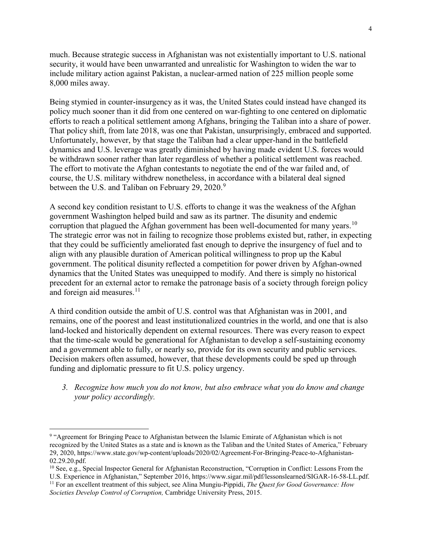much. Because strategic success in Afghanistan was not existentially important to U.S. national security, it would have been unwarranted and unrealistic for Washington to widen the war to include military action against Pakistan, a nuclear-armed nation of 225 million people some 8,000 miles away.

Being stymied in counter-insurgency as it was, the United States could instead have changed its policy much sooner than it did from one centered on war-fighting to one centered on diplomatic efforts to reach a political settlement among Afghans, bringing the Taliban into a share of power. That policy shift, from late 2018, was one that Pakistan, unsurprisingly, embraced and supported. Unfortunately, however, by that stage the Taliban had a clear upper-hand in the battlefield dynamics and U.S. leverage was greatly diminished by having made evident U.S. forces would be withdrawn sooner rather than later regardless of whether a political settlement was reached. The effort to motivate the Afghan contestants to negotiate the end of the war failed and, of course, the U.S. military withdrew nonetheless, in accordance with a bilateral deal signed between the U.S. and Taliban on February 2[9](#page-4-0), 2020.<sup>9</sup>

A second key condition resistant to U.S. efforts to change it was the weakness of the Afghan government Washington helped build and saw as its partner. The disunity and endemic corruption that plagued the Afghan government has been well-documented for many years.<sup>[10](#page-4-1)</sup> The strategic error was not in failing to recognize those problems existed but, rather, in expecting that they could be sufficiently ameliorated fast enough to deprive the insurgency of fuel and to align with any plausible duration of American political willingness to prop up the Kabul government. The political disunity reflected a competition for power driven by Afghan-owned dynamics that the United States was unequipped to modify. And there is simply no historical precedent for an external actor to remake the patronage basis of a society through foreign policy and foreign aid measures. $11$ 

A third condition outside the ambit of U.S. control was that Afghanistan was in 2001, and remains, one of the poorest and least institutionalized countries in the world, and one that is also land-locked and historically dependent on external resources. There was every reason to expect that the time-scale would be generational for Afghanistan to develop a self-sustaining economy and a government able to fully, or nearly so, provide for its own security and public services. Decision makers often assumed, however, that these developments could be sped up through funding and diplomatic pressure to fit U.S. policy urgency.

*3. Recognize how much you do not know, but also embrace what you do know and change your policy accordingly.*

 $\overline{a}$ 

<span id="page-4-0"></span><sup>9</sup> "Agreement for Bringing Peace to Afghanistan between the Islamic Emirate of Afghanistan which is not recognized by the United States as a state and is known as the Taliban and the United States of America," February 29, 2020, https://www.state.gov/wp-content/uploads/2020/02/Agreement-For-Bringing-Peace-to-Afghanistan-02.29.20.pdf.

<span id="page-4-1"></span> $10$  See, e.g., Special Inspector General for Afghanistan Reconstruction, "Corruption in Conflict: Lessons From the U.S. Experience in Afghanistan," September 2016, https://www.sigar.mil/pdf/lessonslearned/SIGAR-16-58-LL.pdf. <sup>11</sup> For an excellent treatment of this subject, see Alina Mungiu-Pippidi, *The Quest for Good Governance: How* 

<span id="page-4-2"></span>*Societies Develop Control of Corruption,* Cambridge University Press, 2015.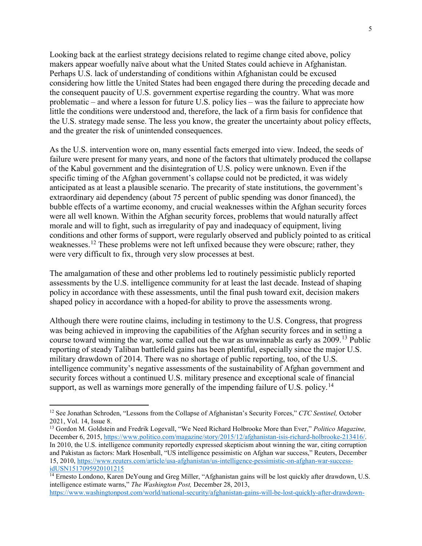Looking back at the earliest strategy decisions related to regime change cited above, policy makers appear woefully naïve about what the United States could achieve in Afghanistan. Perhaps U.S. lack of understanding of conditions within Afghanistan could be excused considering how little the United States had been engaged there during the preceding decade and the consequent paucity of U.S. government expertise regarding the country. What was more problematic – and where a lesson for future U.S. policy lies – was the failure to appreciate how little the conditions were understood and, therefore, the lack of a firm basis for confidence that the U.S. strategy made sense. The less you know, the greater the uncertainty about policy effects, and the greater the risk of unintended consequences.

As the U.S. intervention wore on, many essential facts emerged into view. Indeed, the seeds of failure were present for many years, and none of the factors that ultimately produced the collapse of the Kabul government and the disintegration of U.S. policy were unknown. Even if the specific timing of the Afghan government's collapse could not be predicted, it was widely anticipated as at least a plausible scenario. The precarity of state institutions, the government's extraordinary aid dependency (about 75 percent of public spending was donor financed), the bubble effects of a wartime economy, and crucial weaknesses within the Afghan security forces were all well known. Within the Afghan security forces, problems that would naturally affect morale and will to fight, such as irregularity of pay and inadequacy of equipment, living conditions and other forms of support, were regularly observed and publicly pointed to as critical weaknesses.<sup>[12](#page-5-0)</sup> These problems were not left unfixed because they were obscure; rather, they were very difficult to fix, through very slow processes at best.

The amalgamation of these and other problems led to routinely pessimistic publicly reported assessments by the U.S. intelligence community for at least the last decade. Instead of shaping policy in accordance with these assessments, until the final push toward exit, decision makers shaped policy in accordance with a hoped-for ability to prove the assessments wrong.

Although there were routine claims, including in testimony to the U.S. Congress, that progress was being achieved in improving the capabilities of the Afghan security forces and in setting a course toward winning the war, some called out the war as unwinnable as early as 2009.<sup>[13](#page-5-1)</sup> Public reporting of steady Taliban battlefield gains has been plentiful, especially since the major U.S. military drawdown of 2014. There was no shortage of public reporting, too, of the U.S. intelligence community's negative assessments of the sustainability of Afghan government and security forces without a continued U.S. military presence and exceptional scale of financial support, as well as warnings more generally of the impending failure of U.S. policy.<sup>[14](#page-5-2)</sup>

 $\overline{a}$ 

<span id="page-5-0"></span><sup>12</sup> See Jonathan Schroden, "Lessons from the Collapse of Afghanistan's Security Forces," *CTC Sentinel,* October 2021, Vol. 14, Issue 8.

<span id="page-5-1"></span><sup>13</sup> Gordon M. Goldstein and Fredrik Logevall, "We Need Richard Holbrooke More than Ever," *Politico Magazine,* December 6, 2015[, https://www.politico.com/magazine/story/2015/12/afghanistan-isis-richard-holbrooke-213416/.](https://www.politico.com/magazine/story/2015/12/afghanistan-isis-richard-holbrooke-213416/) In 2010, the U.S. intelligence community reportedly expressed skepticism about winning the war, citing corruption and Pakistan as factors: Mark Hosenball, "US intelligence pessimistic on Afghan war success," Reuters, December 15, 2010, [https://www.reuters.com/article/usa-afghanistan/us-intelligence-pessimistic-on-afghan-war-success](https://www.reuters.com/article/usa-afghanistan/us-intelligence-pessimistic-on-afghan-war-success-idUSN1517095920101215)[idUSN1517095920101215](https://www.reuters.com/article/usa-afghanistan/us-intelligence-pessimistic-on-afghan-war-success-idUSN1517095920101215)

<span id="page-5-2"></span><sup>&</sup>lt;sup>14</sup> Ernesto Londono, Karen DeYoung and Greg Miller, "Afghanistan gains will be lost quickly after drawdown, U.S. intelligence estimate warns," *The Washington Post,* December 28, 2013,

[https://www.washingtonpost.com/world/national-security/afghanistan-gains-will-be-lost-quickly-after-drawdown-](https://www.washingtonpost.com/world/national-security/afghanistan-gains-will-be-lost-quickly-after-drawdown-us-intelligence-estimate-warns/2013/12/28/ac609f90-6f32-11e3-aecc-85cb037b7236_story.html?tid=a_inl_manual)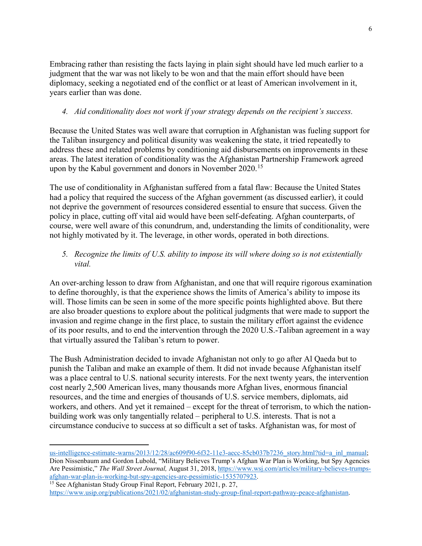Embracing rather than resisting the facts laying in plain sight should have led much earlier to a judgment that the war was not likely to be won and that the main effort should have been diplomacy, seeking a negotiated end of the conflict or at least of American involvement in it, years earlier than was done.

# *4. Aid conditionality does not work if your strategy depends on the recipient's success.*

Because the United States was well aware that corruption in Afghanistan was fueling support for the Taliban insurgency and political disunity was weakening the state, it tried repeatedly to address these and related problems by conditioning aid disbursements on improvements in these areas. The latest iteration of conditionality was the Afghanistan Partnership Framework agreed upon by the Kabul government and donors in November 2020.<sup>[15](#page-6-0)</sup>

The use of conditionality in Afghanistan suffered from a fatal flaw: Because the United States had a policy that required the success of the Afghan government (as discussed earlier), it could not deprive the government of resources considered essential to ensure that success. Given the policy in place, cutting off vital aid would have been self-defeating. Afghan counterparts, of course, were well aware of this conundrum, and, understanding the limits of conditionality, were not highly motivated by it. The leverage, in other words, operated in both directions.

## *5. Recognize the limits of U.S. ability to impose its will where doing so is not existentially vital.*

An over-arching lesson to draw from Afghanistan, and one that will require rigorous examination to define thoroughly, is that the experience shows the limits of America's ability to impose its will. Those limits can be seen in some of the more specific points highlighted above. But there are also broader questions to explore about the political judgments that were made to support the invasion and regime change in the first place, to sustain the military effort against the evidence of its poor results, and to end the intervention through the 2020 U.S.-Taliban agreement in a way that virtually assured the Taliban's return to power.

The Bush Administration decided to invade Afghanistan not only to go after Al Qaeda but to punish the Taliban and make an example of them. It did not invade because Afghanistan itself was a place central to U.S. national security interests. For the next twenty years, the intervention cost nearly 2,500 American lives, many thousands more Afghan lives, enormous financial resources, and the time and energies of thousands of U.S. service members, diplomats, aid workers, and others. And yet it remained – except for the threat of terrorism, to which the nationbuilding work was only tangentially related – peripheral to U.S. interests. That is not a circumstance conducive to success at so difficult a set of tasks. Afghanistan was, for most of

<span id="page-6-0"></span>[https://www.usip.org/publications/2021/02/afghanistan-study-group-final-report-pathway-peace-afghanistan.](https://www.usip.org/publications/2021/02/afghanistan-study-group-final-report-pathway-peace-afghanistan)

 $\overline{a}$ 

[us-intelligence-estimate-warns/2013/12/28/ac609f90-6f32-11e3-aecc-85cb037b7236\\_story.html?tid=a\\_inl\\_manual;](https://www.washingtonpost.com/world/national-security/afghanistan-gains-will-be-lost-quickly-after-drawdown-us-intelligence-estimate-warns/2013/12/28/ac609f90-6f32-11e3-aecc-85cb037b7236_story.html?tid=a_inl_manual) Dion Nissenbaum and Gordon Lubold, "Military Believes Trump's Afghan War Plan is Working, but Spy Agencies Are Pessimistic," *The Wall Street Journal,* August 31, 2018, [https://www.wsj.com/articles/military-believes-trumps](https://www.wsj.com/articles/military-believes-trumps-afghan-war-plan-is-working-but-spy-agencies-are-pessimistic-1535707923)[afghan-war-plan-is-working-but-spy-agencies-are-pessimistic-1535707923.](https://www.wsj.com/articles/military-believes-trumps-afghan-war-plan-is-working-but-spy-agencies-are-pessimistic-1535707923) <sup>15</sup> See Afghanistan Study Group Final Report, February 2021, p. 27,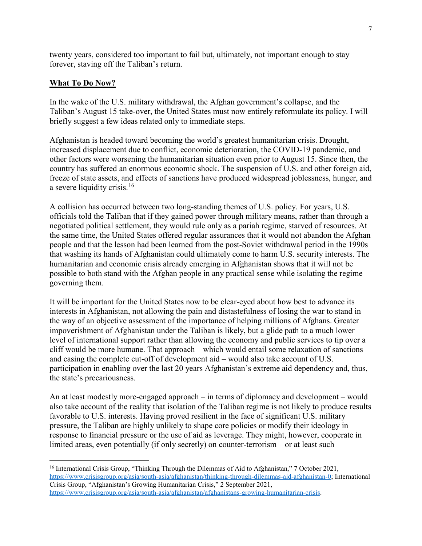twenty years, considered too important to fail but, ultimately, not important enough to stay forever, staving off the Taliban's return.

#### **What To Do Now?**

 $\overline{a}$ 

In the wake of the U.S. military withdrawal, the Afghan government's collapse, and the Taliban's August 15 take-over, the United States must now entirely reformulate its policy. I will briefly suggest a few ideas related only to immediate steps.

Afghanistan is headed toward becoming the world's greatest humanitarian crisis. Drought, increased displacement due to conflict, economic deterioration, the COVID-19 pandemic, and other factors were worsening the humanitarian situation even prior to August 15. Since then, the country has suffered an enormous economic shock. The suspension of U.S. and other foreign aid, freeze of state assets, and effects of sanctions have produced widespread joblessness, hunger, and a severe liquidity crisis.<sup>[16](#page-7-0)</sup>

A collision has occurred between two long-standing themes of U.S. policy. For years, U.S. officials told the Taliban that if they gained power through military means, rather than through a negotiated political settlement, they would rule only as a pariah regime, starved of resources. At the same time, the United States offered regular assurances that it would not abandon the Afghan people and that the lesson had been learned from the post-Soviet withdrawal period in the 1990s that washing its hands of Afghanistan could ultimately come to harm U.S. security interests. The humanitarian and economic crisis already emerging in Afghanistan shows that it will not be possible to both stand with the Afghan people in any practical sense while isolating the regime governing them.

It will be important for the United States now to be clear-eyed about how best to advance its interests in Afghanistan, not allowing the pain and distastefulness of losing the war to stand in the way of an objective assessment of the importance of helping millions of Afghans. Greater impoverishment of Afghanistan under the Taliban is likely, but a glide path to a much lower level of international support rather than allowing the economy and public services to tip over a cliff would be more humane. That approach – which would entail some relaxation of sanctions and easing the complete cut-off of development aid – would also take account of U.S. participation in enabling over the last 20 years Afghanistan's extreme aid dependency and, thus, the state's precariousness.

An at least modestly more-engaged approach – in terms of diplomacy and development – would also take account of the reality that isolation of the Taliban regime is not likely to produce results favorable to U.S. interests. Having proved resilient in the face of significant U.S. military pressure, the Taliban are highly unlikely to shape core policies or modify their ideology in response to financial pressure or the use of aid as leverage. They might, however, cooperate in limited areas, even potentially (if only secretly) on counter-terrorism – or at least such

<span id="page-7-0"></span><sup>&</sup>lt;sup>16</sup> International Crisis Group, "Thinking Through the Dilemmas of Aid to Afghanistan," 7 October 2021, [https://www.crisisgroup.org/asia/south-asia/afghanistan/thinking-through-dilemmas-aid-afghanistan-0;](https://www.crisisgroup.org/asia/south-asia/afghanistan/thinking-through-dilemmas-aid-afghanistan-0) International Crisis Group, "Afghanistan's Growing Humanitarian Crisis," 2 September 2021, [https://www.crisisgroup.org/asia/south-asia/afghanistan/afghanistans-growing-humanitarian-crisis.](https://www.crisisgroup.org/asia/south-asia/afghanistan/afghanistans-growing-humanitarian-crisis)